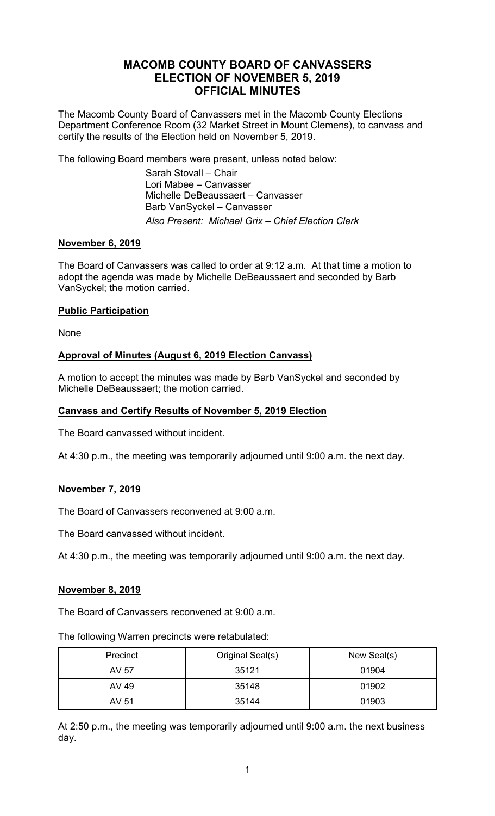# **MACOMB COUNTY BOARD OF CANVASSERS ELECTION OF NOVEMBER 5, 2019 OFFICIAL MINUTES**

The Macomb County Board of Canvassers met in the Macomb County Elections Department Conference Room (32 Market Street in Mount Clemens), to canvass and certify the results of the Election held on November 5, 2019.

The following Board members were present, unless noted below:

 Sarah Stovall – Chair Lori Mabee – Canvasser Michelle DeBeaussaert – Canvasser Barb VanSyckel – Canvasser *Also Present: Michael Grix – Chief Election Clerk* 

## **November 6, 2019**

The Board of Canvassers was called to order at 9:12 a.m. At that time a motion to adopt the agenda was made by Michelle DeBeaussaert and seconded by Barb VanSyckel; the motion carried.

## **Public Participation**

None

## **Approval of Minutes (August 6, 2019 Election Canvass)**

A motion to accept the minutes was made by Barb VanSyckel and seconded by Michelle DeBeaussaert; the motion carried.

## **Canvass and Certify Results of November 5, 2019 Election**

The Board canvassed without incident.

At 4:30 p.m., the meeting was temporarily adjourned until 9:00 a.m. the next day.

## **November 7, 2019**

The Board of Canvassers reconvened at 9:00 a.m.

The Board canvassed without incident.

At 4:30 p.m., the meeting was temporarily adjourned until 9:00 a.m. the next day.

#### **November 8, 2019**

The Board of Canvassers reconvened at 9:00 a.m.

The following Warren precincts were retabulated:

| Precinct | Original Seal(s) | New Seal(s) |
|----------|------------------|-------------|
| AV 57    | 35121            | 01904       |
| AV 49    | 35148            | 01902       |
| AV 51    | 35144            | 01903       |

At 2:50 p.m., the meeting was temporarily adjourned until 9:00 a.m. the next business day.